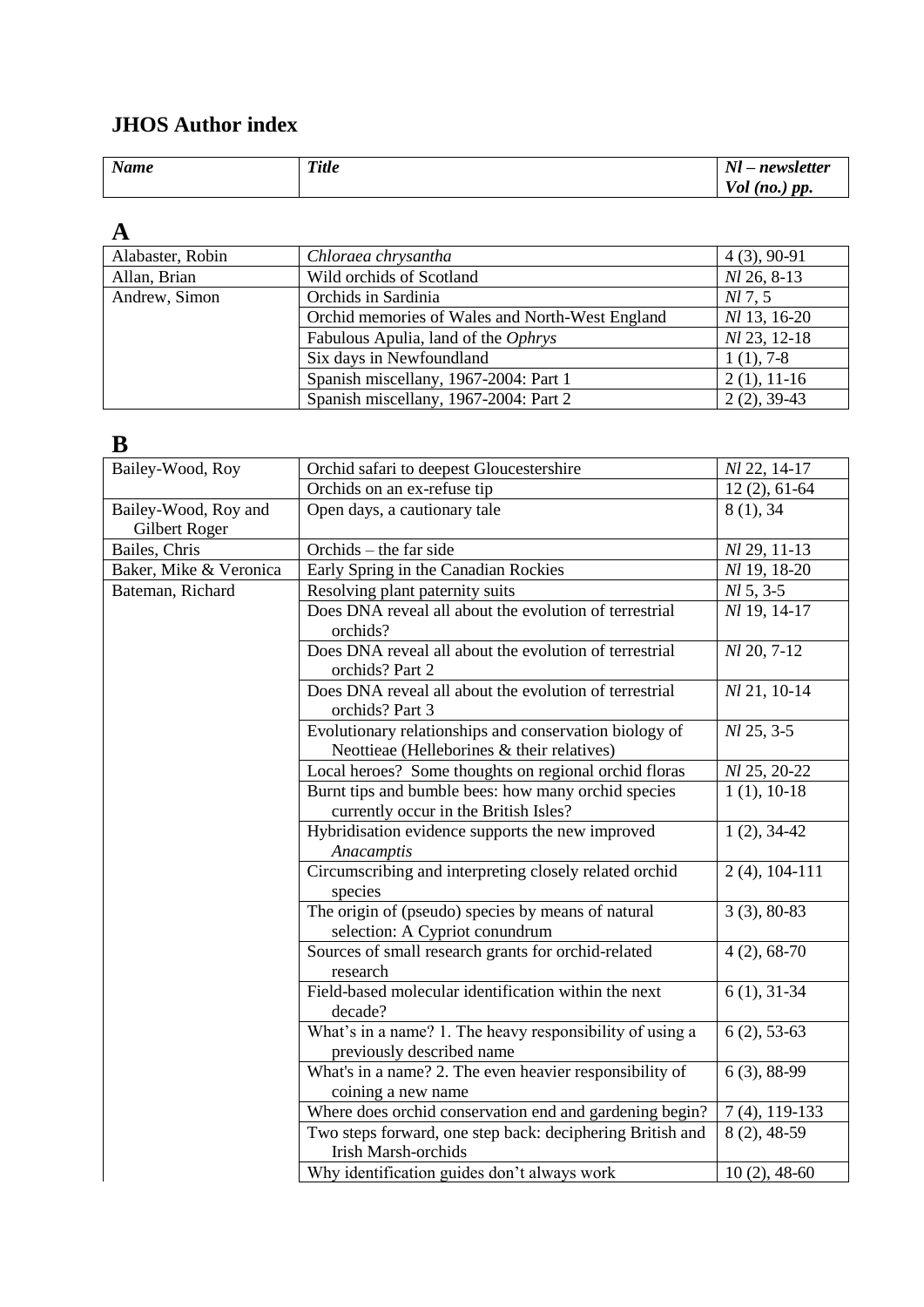#### **JHOS Author index**

| <b>Name</b> | T:4<br>uu | $\mathbf{M}$<br>$-1$<br>$-10$<br><br>weller<br>. .      |
|-------------|-----------|---------------------------------------------------------|
|             |           | $\boldsymbol{nn}$<br>$\sqrt{ }$<br>' Ul<br>$\mathbf{u}$ |

#### **A**

| Alabaster, Robin | Chloraea chrysantha                             | $4(3), 90-91$       |
|------------------|-------------------------------------------------|---------------------|
| Allan, Brian     | Wild orchids of Scotland                        | $Nl$ 26, 8-13       |
| Andrew, Simon    | Orchids in Sardinia                             | NI 7, 5             |
|                  | Orchid memories of Wales and North-West England | <i>Nl</i> 13, 16-20 |
|                  | Fabulous Apulia, land of the Ophrys             | Nl 23, 12-18        |
|                  | Six days in Newfoundland                        | $1(1), 7-8$         |
|                  | Spanish miscellany, 1967-2004: Part 1           | $2(1), 11-16$       |
|                  | Spanish miscellany, 1967-2004: Part 2           | $2(2), 39-43$       |

#### **B**

| Bailey-Wood, Roy                      | Orchid safari to deepest Gloucestershire                                                             | Nl 22, 14-17     |
|---------------------------------------|------------------------------------------------------------------------------------------------------|------------------|
|                                       | Orchids on an ex-refuse tip                                                                          | $12(2), 61-64$   |
| Bailey-Wood, Roy and<br>Gilbert Roger | Open days, a cautionary tale                                                                         | 8(1), 34         |
| Bailes, Chris                         | Orchids – the far side                                                                               | Nl 29, 11-13     |
| Baker, Mike & Veronica                | Early Spring in the Canadian Rockies                                                                 | Nl 19, 18-20     |
| Bateman, Richard                      | Resolving plant paternity suits                                                                      | $M\,5, 3-5$      |
|                                       | Does DNA reveal all about the evolution of terrestrial<br>orchids?                                   | Nl 19, 14-17     |
|                                       | Does DNA reveal all about the evolution of terrestrial<br>orchids? Part 2                            | Nl 20, 7-12      |
|                                       | Does DNA reveal all about the evolution of terrestrial<br>orchids? Part 3                            | Nl 21, 10-14     |
|                                       | Evolutionary relationships and conservation biology of<br>Neottieae (Helleborines & their relatives) | Nl 25, 3-5       |
|                                       | Local heroes? Some thoughts on regional orchid floras                                                | Nl 25, 20-22     |
|                                       | Burnt tips and bumble bees: how many orchid species<br>currently occur in the British Isles?         | $1(1), 10-18$    |
|                                       | Hybridisation evidence supports the new improved<br>Anacamptis                                       | $1(2), 34-42$    |
|                                       | Circumscribing and interpreting closely related orchid<br>species                                    | $2(4)$ , 104-111 |
|                                       | The origin of (pseudo) species by means of natural<br>selection: A Cypriot conundrum                 | $3(3), 80-83$    |
|                                       | Sources of small research grants for orchid-related<br>research                                      | $4(2), 68-70$    |
|                                       | Field-based molecular identification within the next<br>decade?                                      | $6(1), 31-34$    |
|                                       | What's in a name? 1. The heavy responsibility of using a<br>previously described name                | $6(2), 53-63$    |
|                                       | What's in a name? 2. The even heavier responsibility of<br>coining a new name                        | $6(3), 88-99$    |
|                                       | Where does orchid conservation end and gardening begin?                                              | $7(4)$ , 119-133 |
|                                       | Two steps forward, one step back: deciphering British and<br><b>Irish Marsh-orchids</b>              | $8(2), 48-59$    |
|                                       | Why identification guides don't always work                                                          | $10(2)$ , 48-60  |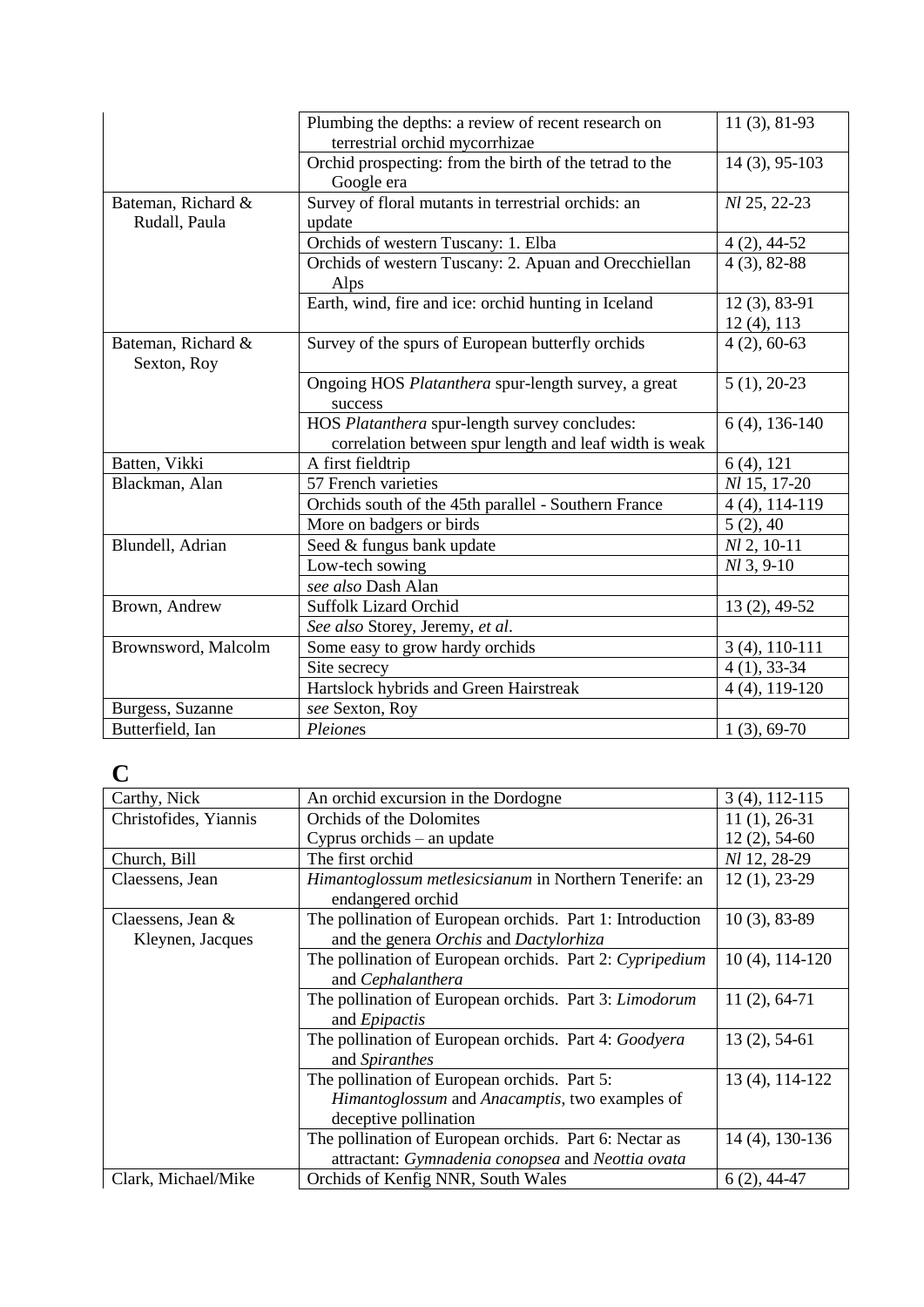|                                     | Plumbing the depths: a review of recent research on<br>terrestrial orchid mycorrhizae                   | $11(3), 81-93$               |
|-------------------------------------|---------------------------------------------------------------------------------------------------------|------------------------------|
|                                     | Orchid prospecting: from the birth of the tetrad to the<br>Google era                                   | 14 (3), 95-103               |
| Bateman, Richard &<br>Rudall, Paula | Survey of floral mutants in terrestrial orchids: an<br>update                                           | Nl 25, 22-23                 |
|                                     | Orchids of western Tuscany: 1. Elba                                                                     | $4(2), 44-52$                |
|                                     | Orchids of western Tuscany: 2. Apuan and Orecchiellan<br>Alps                                           | $4(3), 82-88$                |
|                                     | Earth, wind, fire and ice: orchid hunting in Iceland                                                    | $12(3), 83-91$<br>12(4), 113 |
| Bateman, Richard &<br>Sexton, Roy   | Survey of the spurs of European butterfly orchids                                                       | $4(2), 60-63$                |
|                                     | Ongoing HOS Platanthera spur-length survey, a great<br>success                                          | $5(1), 20-23$                |
|                                     | HOS Platanthera spur-length survey concludes:<br>correlation between spur length and leaf width is weak | $6(4)$ , 136-140             |
| Batten, Vikki                       | A first fieldtrip                                                                                       | $6(4)$ , 121                 |
| Blackman, Alan                      | 57 French varieties                                                                                     | Nl 15, 17-20                 |
|                                     | Orchids south of the 45th parallel - Southern France                                                    | $4(4), 114-119$              |
|                                     | More on badgers or birds                                                                                | 5(2), 40                     |
| Blundell, Adrian                    | Seed & fungus bank update                                                                               | $Nl$ 2, 10-11                |
|                                     | Low-tech sowing                                                                                         | $Nl$ 3, 9-10                 |
|                                     | see also Dash Alan                                                                                      |                              |
| Brown, Andrew                       | <b>Suffolk Lizard Orchid</b>                                                                            | 13 (2), 49-52                |
|                                     | See also Storey, Jeremy, et al.                                                                         |                              |
| Brownsword, Malcolm                 | Some easy to grow hardy orchids                                                                         | 3 (4), 110-111               |
|                                     | Site secrecy                                                                                            | $4(1), 33-34$                |
|                                     | Hartslock hybrids and Green Hairstreak                                                                  | $4(4)$ , 119-120             |
| Burgess, Suzanne                    | see Sexton, Roy                                                                                         |                              |
| Butterfield, Ian                    | Pleiones                                                                                                | $1(3), 69-70$                |

#### **C**

| Carthy, Nick                          | An orchid excursion in the Dordogne                                                                                     | $3(4)$ , 112-115    |
|---------------------------------------|-------------------------------------------------------------------------------------------------------------------------|---------------------|
| Christofides, Yiannis                 | Orchids of the Dolomites                                                                                                | $11(1), 26-31$      |
|                                       | Cyprus orchids $-$ an update                                                                                            | $12(2), 54-60$      |
| Church, Bill                          | The first orchid                                                                                                        | Nl 12, 28-29        |
| Claessens, Jean                       | Himantoglossum metlesicsianum in Northern Tenerife: an<br>endangered orchid                                             | $12(1), 23-29$      |
| Claessens, Jean &<br>Kleynen, Jacques | The pollination of European orchids. Part 1: Introduction<br>and the genera Orchis and Dactylorhiza                     | $10(3)$ , 83-89     |
|                                       | The pollination of European orchids. Part 2: Cypripedium<br>and Cephalanthera                                           | $10(4)$ , $114-120$ |
|                                       | The pollination of European orchids. Part 3: Limodorum<br>and <i>Epipactis</i>                                          | $11(2), 64-71$      |
|                                       | The pollination of European orchids. Part 4: Goodyera<br>and Spiranthes                                                 | $13(2), 54-61$      |
|                                       | The pollination of European orchids. Part 5:<br>Himantoglossum and Anacamptis, two examples of<br>deceptive pollination | 13 (4), 114-122     |
|                                       | The pollination of European orchids. Part 6: Nectar as<br>attractant: Gymnadenia conopsea and Neottia ovata             | 14 (4), 130-136     |
| Clark, Michael/Mike                   | Orchids of Kenfig NNR, South Wales                                                                                      | $6(2)$ , 44-47      |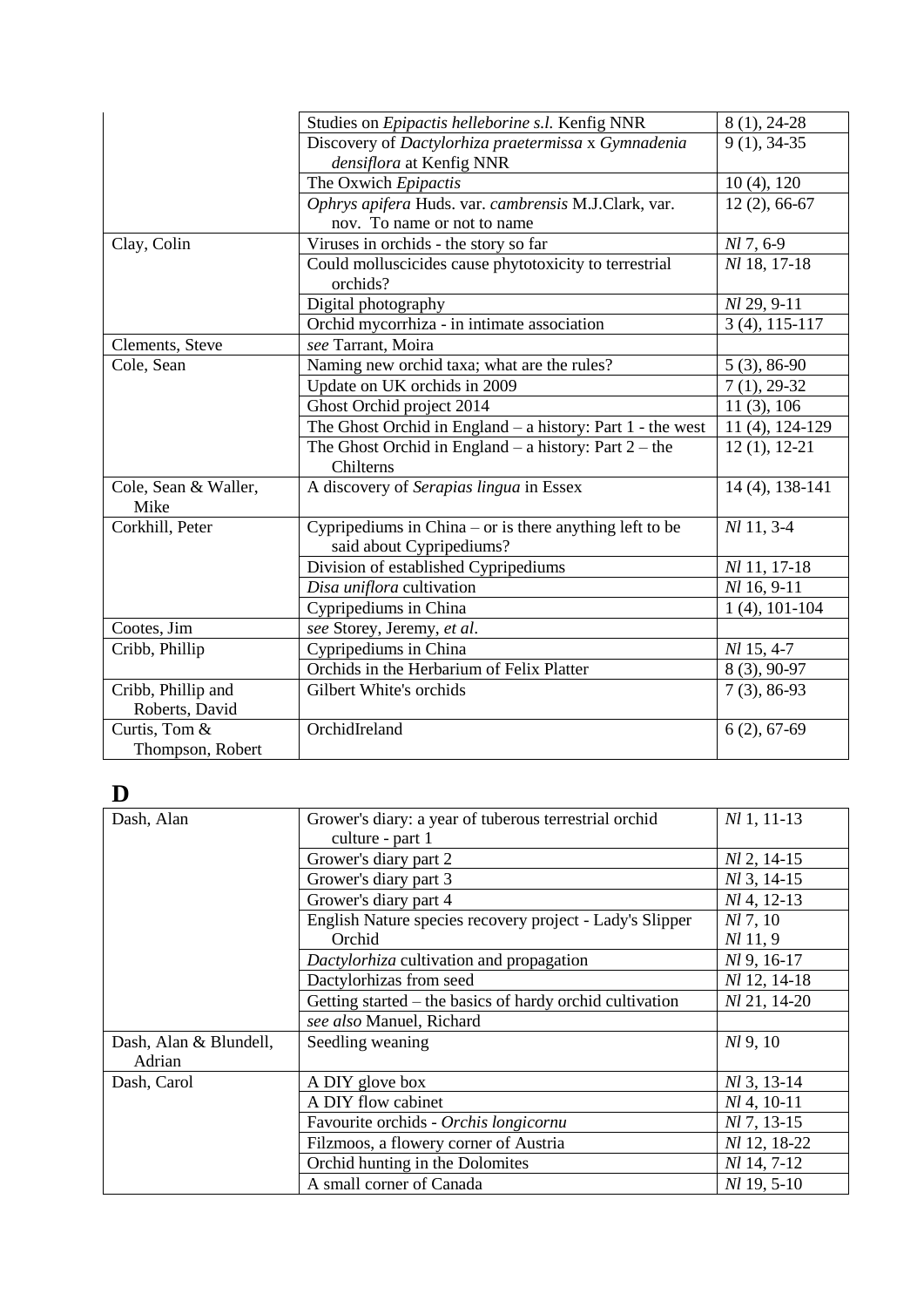|                      | Studies on Epipactis helleborine s.l. Kenfig NNR             | $8(1), 24-28$    |
|----------------------|--------------------------------------------------------------|------------------|
|                      | Discovery of Dactylorhiza praetermissa x Gymnadenia          | $9(1), 34-35$    |
|                      | densiflora at Kenfig NNR                                     |                  |
|                      | The Oxwich Epipactis                                         | $10(4)$ , $120$  |
|                      | Ophrys apifera Huds. var. cambrensis M.J.Clark, var.         | $12(2), 66-67$   |
|                      | nov. To name or not to name                                  |                  |
| Clay, Colin          | Viruses in orchids - the story so far                        | $Nl$ 7, 6-9      |
|                      | Could molluscicides cause phytotoxicity to terrestrial       | Nl 18, 17-18     |
|                      | orchids?                                                     |                  |
|                      | Digital photography                                          | Nl 29, 9-11      |
|                      | Orchid mycorrhiza - in intimate association                  | $3(4), 115-117$  |
| Clements, Steve      | see Tarrant, Moira                                           |                  |
| Cole, Sean           | Naming new orchid taxa; what are the rules?                  | $5(3), 86-90$    |
|                      | Update on UK orchids in 2009                                 | $7(1), 29-32$    |
|                      | Ghost Orchid project 2014                                    | 11(3), 106       |
|                      | The Ghost Orchid in England $-$ a history: Part 1 - the west | 11 (4), 124-129  |
|                      | The Ghost Orchid in England – a history: Part $2$ – the      | $12(1), 12-21$   |
|                      | Chilterns                                                    |                  |
| Cole, Sean & Waller, | A discovery of Serapias lingua in Essex                      | 14 (4), 138-141  |
| Mike                 |                                                              |                  |
| Corkhill, Peter      | Cypripediums in China $-$ or is there anything left to be    | Nl 11, 3-4       |
|                      | said about Cypripediums?                                     |                  |
|                      | Division of established Cypripediums                         | Nl 11, 17-18     |
|                      | Disa uniflora cultivation                                    | Nl 16, 9-11      |
|                      | Cypripediums in China                                        | $1(4)$ , 101-104 |
| Cootes, Jim          | see Storey, Jeremy, et al.                                   |                  |
| Cribb, Phillip       | Cypripediums in China                                        | Nl 15, 4-7       |
|                      | Orchids in the Herbarium of Felix Platter                    | 8 (3), 90-97     |
| Cribb, Phillip and   | Gilbert White's orchids                                      | $7(3), 86-93$    |
| Roberts, David       |                                                              |                  |
| Curtis, Tom &        | OrchidIreland                                                | $6(2), 67-69$    |
| Thompson, Robert     |                                                              |                  |

## **D**

| Dash, Alan             | Grower's diary: a year of tuberous terrestrial orchid    | $Nl$ 1, 11-13 |
|------------------------|----------------------------------------------------------|---------------|
|                        | culture - part 1                                         |               |
|                        | Grower's diary part 2                                    | $Nl$ 2, 14-15 |
|                        | Grower's diary part 3                                    | $Nl$ 3, 14-15 |
|                        | Grower's diary part 4                                    | $Nl$ 4, 12-13 |
|                        | English Nature species recovery project - Lady's Slipper | $Nl$ 7, 10    |
|                        | Orchid                                                   | $Nl$ 11, 9    |
|                        | Dactylorhiza cultivation and propagation                 | $Nl$ 9, 16-17 |
|                        | Dactylorhizas from seed                                  | Nl 12, 14-18  |
|                        | Getting started – the basics of hardy orchid cultivation | Nl 21, 14-20  |
|                        | see also Manuel, Richard                                 |               |
| Dash, Alan & Blundell, | Seedling weaning                                         | $Nl$ 9, 10    |
| Adrian                 |                                                          |               |
| Dash, Carol            | A DIY glove box                                          | Nl 3, 13-14   |
|                        | A DIY flow cabinet                                       | $Nl$ 4, 10-11 |
|                        | Favourite orchids - Orchis longicornu                    | Nl 7, 13-15   |
|                        | Filzmoos, a flowery corner of Austria                    | Nl 12, 18-22  |
|                        | Orchid hunting in the Dolomites                          | Nl 14, 7-12   |
|                        | A small corner of Canada                                 | Nl 19, 5-10   |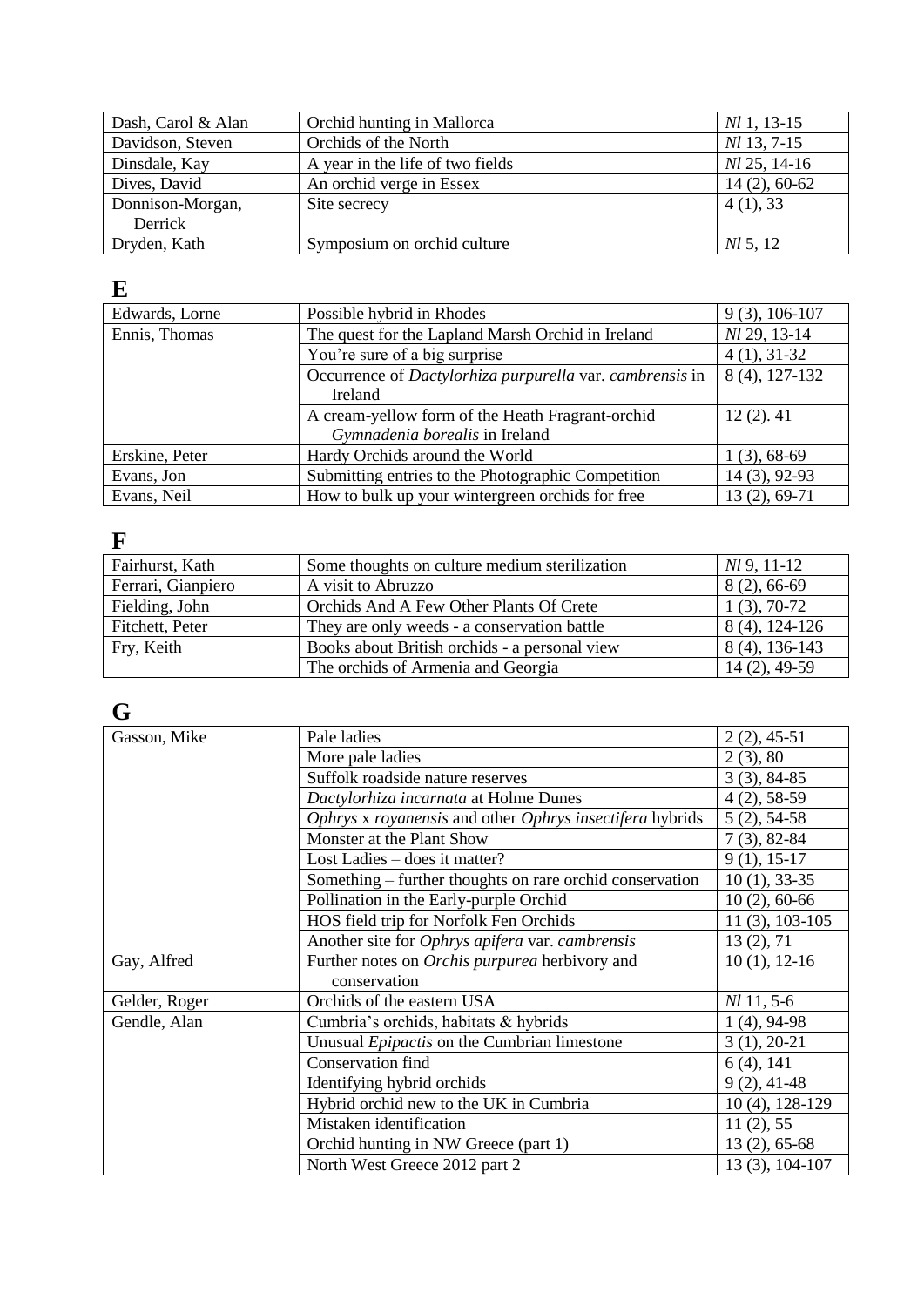| Dash, Carol & Alan | Orchid hunting in Mallorca       | $M1, 13-15$        |
|--------------------|----------------------------------|--------------------|
| Davidson, Steven   | Orchids of the North             | <i>Nl</i> 13, 7-15 |
| Dinsdale, Kay      | A year in the life of two fields | $Nl$ 25, 14-16     |
| Dives, David       | An orchid verge in Essex         | $14(2), 60-62$     |
| Donnison-Morgan,   | Site secrecy                     | 4(1), 33           |
| Derrick            |                                  |                    |
| Dryden, Kath       | Symposium on orchid culture      | <i>NL</i> 5, 12    |

# **E**

| Edwards, Lorne | Possible hybrid in Rhodes                                | $9(3), 106-107$ |
|----------------|----------------------------------------------------------|-----------------|
| Ennis, Thomas  | The quest for the Lapland Marsh Orchid in Ireland        | Nl 29, 13-14    |
|                | You're sure of a big surprise                            | $4(1), 31-32$   |
|                | Occurrence of Dactylorhiza purpurella var. cambrensis in | 8 (4), 127-132  |
|                | <b>Ireland</b>                                           |                 |
|                | A cream-yellow form of the Heath Fragrant-orchid         | $12(2)$ . 41    |
|                | Gymnadenia borealis in Ireland                           |                 |
| Erskine, Peter | Hardy Orchids around the World                           | $1(3), 68-69$   |
| Evans, Jon     | Submitting entries to the Photographic Competition       | 14 (3), 92-93   |
| Evans, Neil    | How to bulk up your wintergreen orchids for free         | 13 (2), 69-71   |

#### **F**

| Fairhurst, Kath    | Some thoughts on culture medium sterilization | $Nl$ 9, 11-12   |
|--------------------|-----------------------------------------------|-----------------|
| Ferrari, Gianpiero | A visit to Abruzzo                            | $8(2), 66-69$   |
| Fielding, John     | Orchids And A Few Other Plants Of Crete       | $1(3), 70-72$   |
| Fitchett, Peter    | They are only weeds - a conservation battle   | 8 (4), 124-126  |
| Fry, Keith         | Books about British orchids - a personal view | 8 (4), 136-143  |
|                    | The orchids of Armenia and Georgia            | $14(2)$ , 49-59 |

# **G**

| Gasson, Mike  | Pale ladies                                              | $2(2), 45-51$       |
|---------------|----------------------------------------------------------|---------------------|
|               | More pale ladies                                         | 2(3), 80            |
|               | Suffolk roadside nature reserves                         | $3(3), 84-85$       |
|               | Dactylorhiza incarnata at Holme Dunes                    | $4(2), 58-59$       |
|               | Ophrys x royanensis and other Ophrys insectifera hybrids | $5(2), 54-58$       |
|               | Monster at the Plant Show                                | $7(3), 82-84$       |
|               | Lost Ladies – does it matter?                            | $9(1), 15-17$       |
|               | Something – further thoughts on rare orchid conservation | $10(1), 33-35$      |
|               | Pollination in the Early-purple Orchid                   | $10(2)$ , 60-66     |
|               | HOS field trip for Norfolk Fen Orchids                   | $11(3), 103-105$    |
|               | Another site for Ophrys apifera var. cambrensis          | 13(2), 71           |
| Gay, Alfred   | Further notes on <i>Orchis purpurea</i> herbivory and    | $10(1), 12-16$      |
|               | conservation                                             |                     |
| Gelder, Roger | Orchids of the eastern USA                               | $Nl$ 11, 5-6        |
| Gendle, Alan  | Cumbria's orchids, habitats & hybrids                    | $1(4)$ , 94-98      |
|               | Unusual Epipactis on the Cumbrian limestone              | $3(1), 20-21$       |
|               | Conservation find                                        | $6(4)$ , 141        |
|               | Identifying hybrid orchids                               | $9(2), 41-48$       |
|               | Hybrid orchid new to the UK in Cumbria                   | $10(4)$ , $128-129$ |
|               | Mistaken identification                                  | 11(2), 55           |
|               | Orchid hunting in NW Greece (part 1)                     | $13(2), 65-68$      |
|               | North West Greece 2012 part 2                            | 13 (3), 104-107     |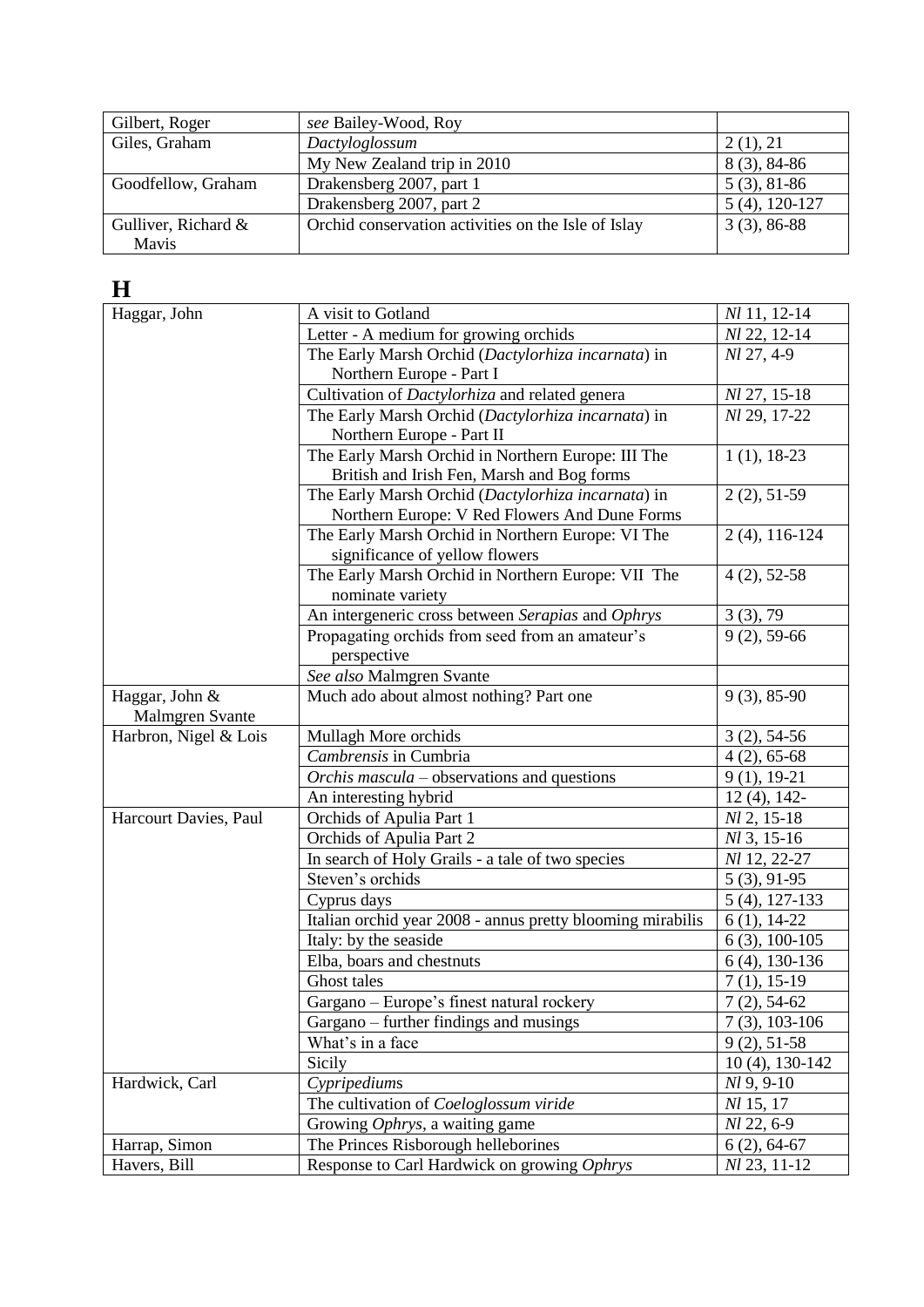| Gilbert, Roger         | see Bailey-Wood, Roy                                |                  |
|------------------------|-----------------------------------------------------|------------------|
| Giles, Graham          | Dactyloglossum                                      | 2(1), 21         |
|                        | My New Zealand trip in 2010                         | $8(3), 84-86$    |
| Goodfellow, Graham     | Drakensberg 2007, part 1                            | $5(3), 81-86$    |
|                        | Drakensberg 2007, part 2                            | $5(4)$ , 120-127 |
| Gulliver, Richard $\&$ | Orchid conservation activities on the Isle of Islay | $3(3), 86-88$    |
| <b>Mavis</b>           |                                                     |                  |

### **H**

| Haggar, John          | A visit to Gotland                                         | Nl 11, 12-14              |
|-----------------------|------------------------------------------------------------|---------------------------|
|                       | Letter - A medium for growing orchids                      | Nl 22, 12-14              |
|                       | The Early Marsh Orchid (Dactylorhiza incarnata) in         | Nl 27, 4-9                |
|                       | Northern Europe - Part I                                   |                           |
|                       | Cultivation of Dactylorhiza and related genera             | Nl 27, 15-18              |
|                       | The Early Marsh Orchid (Dactylorhiza incarnata) in         | Nl 29, 17-22              |
|                       | Northern Europe - Part II                                  |                           |
|                       | The Early Marsh Orchid in Northern Europe: III The         | $1(1), 18-23$             |
|                       | British and Irish Fen, Marsh and Bog forms                 |                           |
|                       | The Early Marsh Orchid (Dactylorhiza incarnata) in         | $2(2), 51-59$             |
|                       | Northern Europe: V Red Flowers And Dune Forms              |                           |
|                       | The Early Marsh Orchid in Northern Europe: VI The          | $2(4)$ , 116-124          |
|                       | significance of yellow flowers                             |                           |
|                       | The Early Marsh Orchid in Northern Europe: VII The         | $4(2), 52-58$             |
|                       | nominate variety                                           |                           |
|                       | An intergeneric cross between Serapias and Ophrys          | 3(3), 79                  |
|                       | Propagating orchids from seed from an amateur's            | $9(2)$ , 59-66            |
|                       | perspective                                                |                           |
|                       | See also Malmgren Svante                                   |                           |
| Haggar, John &        | Much ado about almost nothing? Part one                    | $9(3), 85-90$             |
| Malmgren Svante       |                                                            |                           |
| Harbron, Nigel & Lois | Mullagh More orchids                                       | $3(2), 54-56$             |
|                       | Cambrensis in Cumbria                                      | $4(2), 65-68$             |
|                       | Orchis mascula – observations and questions                | $9(1), 19-21$             |
|                       | An interesting hybrid                                      | $12(4)$ , 142-            |
| Harcourt Davies, Paul | Orchids of Apulia Part 1                                   | $Nl$ 2, 15-18             |
|                       | Orchids of Apulia Part 2                                   | $Nl$ 3, 15-16             |
|                       | In search of Holy Grails - a tale of two species           | Nl 12, 22-27              |
|                       | Steven's orchids                                           | $5(3), 91-95$             |
|                       | Cyprus days                                                | $5(4)$ , 127-133          |
|                       | Italian orchid year 2008 - annus pretty blooming mirabilis | $6(1), 14-22$             |
|                       | Italy: by the seaside                                      | $6(3), 100-105$           |
|                       | Elba, boars and chestnuts                                  | $6(4)$ , 130-136          |
|                       | Ghost tales                                                | $7(1), 15-19$             |
|                       | Gargano - Europe's finest natural rockery                  | $\overline{7}$ (2), 54-62 |
|                       | Gargano – further findings and musings                     | $7(3), 103-106$           |
|                       | What's in a face                                           | $9(2), 51-58$             |
|                       | Sicily                                                     | $10(4)$ , $130-142$       |
| Hardwick, Carl        | Cypripediums                                               | $Nl$ 9, 9-10              |
|                       | The cultivation of Coeloglossum viride                     | Nl 15, 17                 |
|                       | Growing <i>Ophrys</i> , a waiting game                     | Nl 22, 6-9                |
| Harrap, Simon         | The Princes Risborough helleborines                        | $6(2), 64-67$             |
| Havers, Bill          | Response to Carl Hardwick on growing Ophrys                | Nl 23, 11-12              |
|                       |                                                            |                           |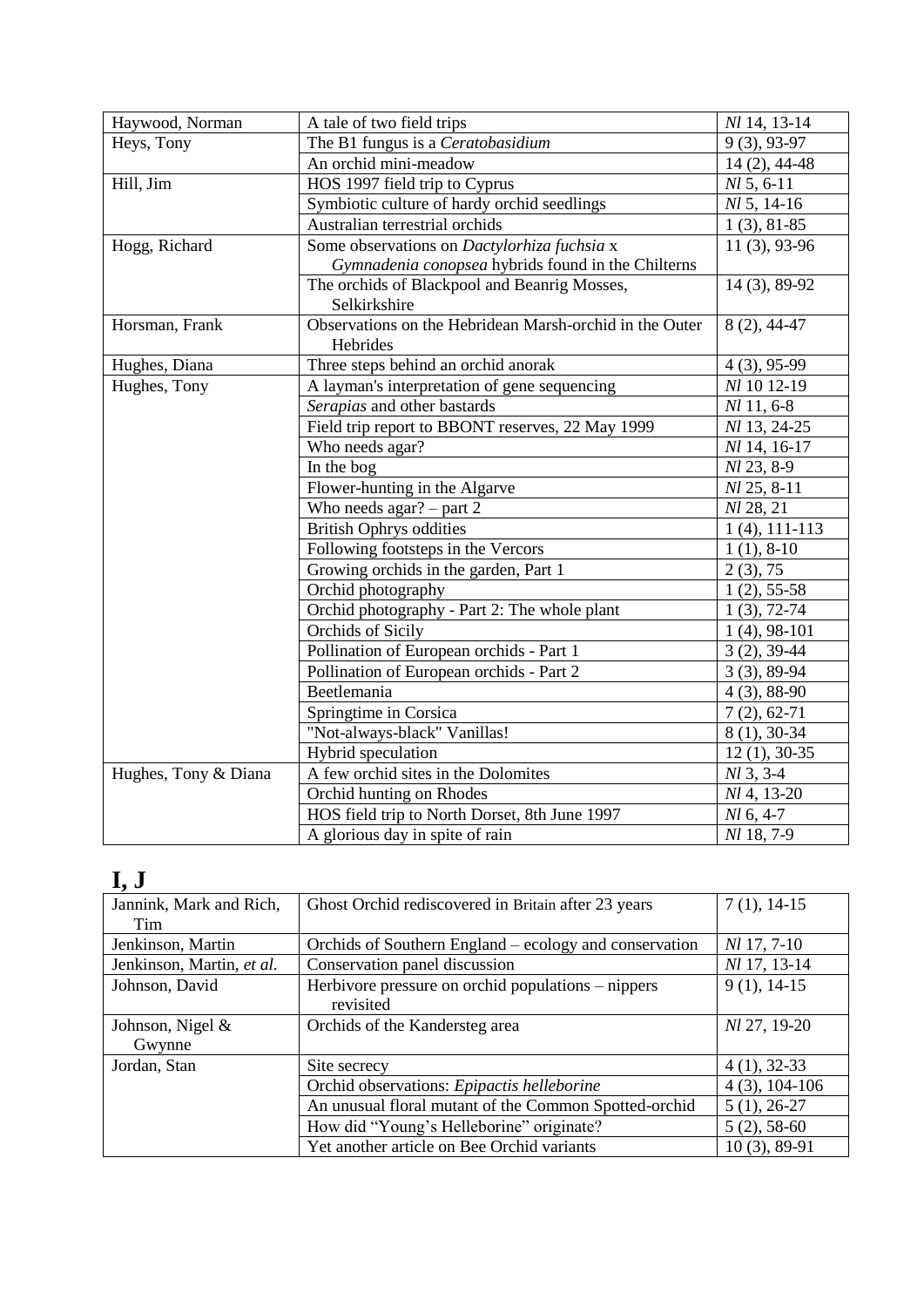| Haywood, Norman      | A tale of two field trips                                           | Nl 14, 13-14     |
|----------------------|---------------------------------------------------------------------|------------------|
| Heys, Tony           | The B1 fungus is a Ceratobasidium                                   | $9(3), 93-97$    |
|                      | An orchid mini-meadow                                               | $14(2), 44-48$   |
| Hill, Jim            | HOS 1997 field trip to Cyprus                                       | $Nl$ 5, 6-11     |
|                      | Symbiotic culture of hardy orchid seedlings                         | $Nl$ 5, 14-16    |
|                      | Australian terrestrial orchids                                      | $1(3), 81-85$    |
| Hogg, Richard        | Some observations on Dactylorhiza fuchsia x                         | 11 (3), 93-96    |
|                      | Gymnadenia conopsea hybrids found in the Chilterns                  |                  |
|                      | The orchids of Blackpool and Beanrig Mosses,                        | 14 (3), 89-92    |
|                      | Selkirkshire                                                        |                  |
| Horsman, Frank       | Observations on the Hebridean Marsh-orchid in the Outer<br>Hebrides | $8(2), 44-47$    |
| Hughes, Diana        | Three steps behind an orchid anorak                                 | $4(3), 95-99$    |
| Hughes, Tony         | A layman's interpretation of gene sequencing                        | Nl 10 12-19      |
|                      | Serapias and other bastards                                         | $Nl$ 11, 6-8     |
|                      | Field trip report to BBONT reserves, 22 May 1999                    | Nl 13, 24-25     |
|                      | Who needs agar?                                                     | Nl 14, 16-17     |
|                      | In the bog                                                          | Nl 23, 8-9       |
|                      | Flower-hunting in the Algarve                                       | $Nl$ 25, 8-11    |
|                      | Who needs $agar? - part 2$                                          | Nl 28, 21        |
|                      | <b>British Ophrys oddities</b>                                      | $1(4)$ , 111-113 |
|                      | Following footsteps in the Vercors                                  | $1(1), 8-10$     |
|                      | Growing orchids in the garden, Part 1                               | 2(3), 75         |
|                      | Orchid photography                                                  | $1(2), 55-58$    |
|                      | Orchid photography - Part 2: The whole plant                        | $1(3), 72-74$    |
|                      | Orchids of Sicily                                                   | $1(4)$ , 98-101  |
|                      | Pollination of European orchids - Part 1                            | $3(2), 39-44$    |
|                      | Pollination of European orchids - Part 2                            | $3(3), 89-94$    |
|                      | Beetlemania                                                         | $4(3), 88-90$    |
|                      | Springtime in Corsica                                               | $7(2), 62-71$    |
|                      | "Not-always-black" Vanillas!                                        | 8 (1), 30-34     |
|                      | Hybrid speculation                                                  | $12(1), 30-35$   |
| Hughes, Tony & Diana | A few orchid sites in the Dolomites                                 | $M$ 3, 3-4       |
|                      | Orchid hunting on Rhodes                                            | Nl 4, 13-20      |
|                      | HOS field trip to North Dorset, 8th June 1997                       | $Nl$ 6, 4-7      |
|                      | A glorious day in spite of rain                                     | Nl 18, 7-9       |

# **I, J**

| Jannink, Mark and Rich,   | Ghost Orchid rediscovered in Britain after 23 years    | $7(1), 14-15$      |
|---------------------------|--------------------------------------------------------|--------------------|
| Tim                       |                                                        |                    |
| Jenkinson, Martin         | Orchids of Southern England – ecology and conservation | <i>Nl</i> 17, 7-10 |
| Jenkinson, Martin, et al. | Conservation panel discussion                          | Nl 17, 13-14       |
| Johnson, David            | Herbivore pressure on orchid populations – nippers     | $9(1), 14-15$      |
|                           | revisited                                              |                    |
| Johnson, Nigel &          | Orchids of the Kandersteg area                         | Nl 27, 19-20       |
| Gwynne                    |                                                        |                    |
| Jordan, Stan              | Site secrecy                                           | $4(1), 32-33$      |
|                           | Orchid observations: Epipactis helleborine             | $4(3), 104-106$    |
|                           | An unusual floral mutant of the Common Spotted-orchid  | $5(1), 26-27$      |
|                           | How did "Young's Helleborine" originate?               | $5(2), 58-60$      |
|                           | Yet another article on Bee Orchid variants             | $10(3)$ , 89-91    |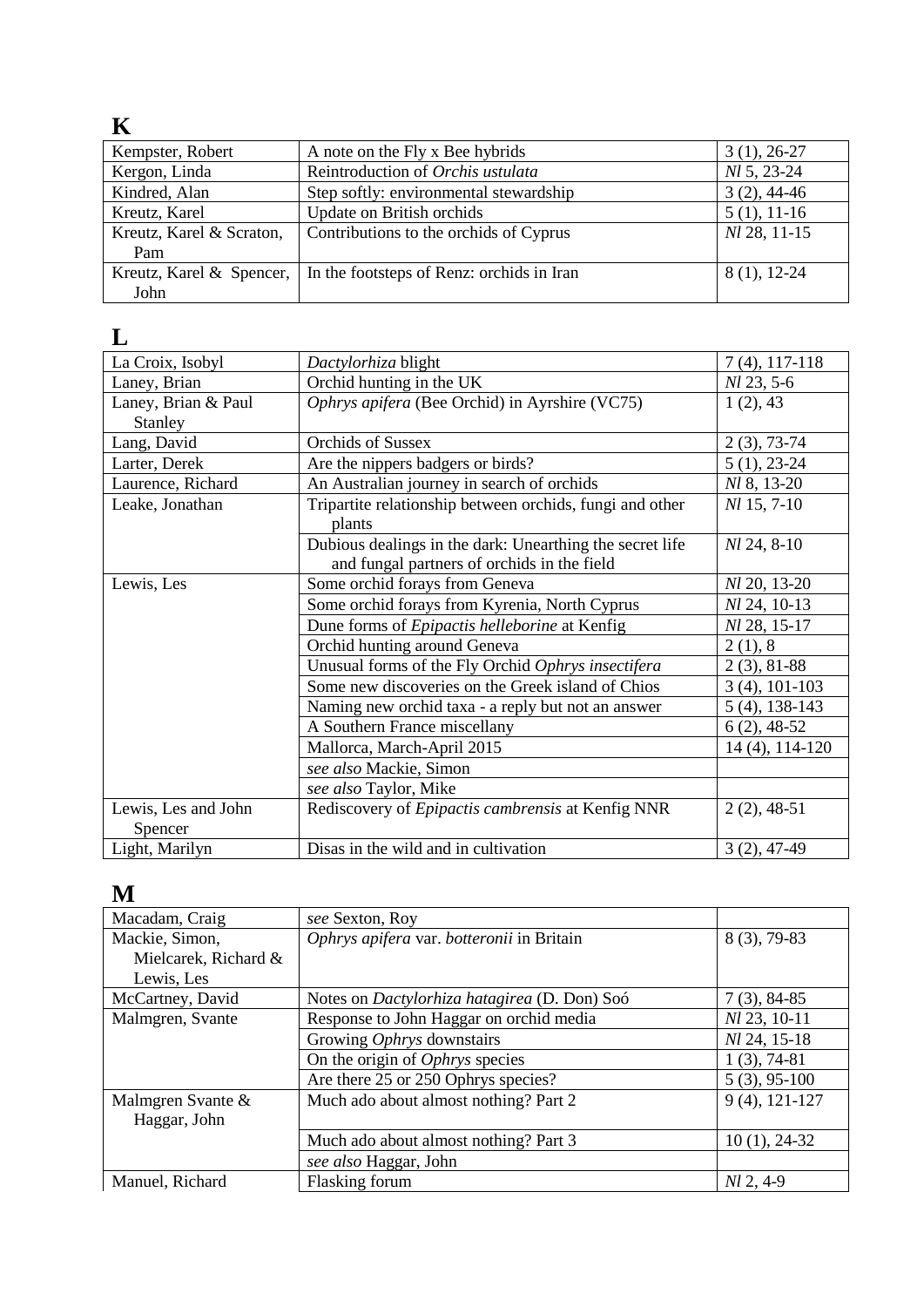## **K**

| Kempster, Robert         | A note on the Fly x Bee hybrids           | $3(1), 26-27$       |
|--------------------------|-------------------------------------------|---------------------|
| Kergon, Linda            | Reintroduction of Orchis ustulata         | <i>NI</i> 5, 23-24  |
| Kindred, Alan            | Step softly: environmental stewardship    | $3(2)$ , 44-46      |
| Kreutz, Karel            | Update on British orchids                 | $5(1), 11-16$       |
| Kreutz, Karel & Scraton, | Contributions to the orchids of Cyprus    | <i>NI</i> 28, 11-15 |
| Pam                      |                                           |                     |
| Kreutz, Karel & Spencer, | In the footsteps of Renz: orchids in Iran | $8(1), 12-24$       |
| John                     |                                           |                     |

### **L**

| La Croix, Isobyl    | Dactylorhiza blight                                      | $7(4)$ , 117-118    |
|---------------------|----------------------------------------------------------|---------------------|
| Laney, Brian        | Orchid hunting in the UK                                 | Nl 23, 5-6          |
| Laney, Brian & Paul | Ophrys apifera (Bee Orchid) in Ayrshire (VC75)           | 1(2), 43            |
| Stanley             |                                                          |                     |
| Lang, David         | <b>Orchids of Sussex</b>                                 | $2(3), 73-74$       |
| Larter, Derek       | Are the nippers badgers or birds?                        | $5(1), 23-24$       |
| Laurence, Richard   | An Australian journey in search of orchids               | <i>Nl</i> 8, 13-20  |
| Leake, Jonathan     | Tripartite relationship between orchids, fungi and other | $Nl$ 15, 7-10       |
|                     | plants                                                   |                     |
|                     | Dubious dealings in the dark: Unearthing the secret life | $Nl$ 24, 8-10       |
|                     | and fungal partners of orchids in the field              |                     |
| Lewis, Les          | Some orchid forays from Geneva                           | <i>Nl</i> 20, 13-20 |
|                     | Some orchid forays from Kyrenia, North Cyprus            | Nl 24, 10-13        |
|                     | Dune forms of Epipactis helleborine at Kenfig            | Nl 28, 15-17        |
|                     | Orchid hunting around Geneva                             | 2(1), 8             |
|                     | Unusual forms of the Fly Orchid Ophrys insectifera       | $2(3), 81-88$       |
|                     | Some new discoveries on the Greek island of Chios        | $3(4)$ , 101-103    |
|                     | Naming new orchid taxa - a reply but not an answer       | $5(4)$ , 138-143    |
|                     | A Southern France miscellany                             | $6(2)$ , 48-52      |
|                     | Mallorca, March-April 2015                               | 14 (4), 114-120     |
|                     | see also Mackie, Simon                                   |                     |
|                     | see also Taylor, Mike                                    |                     |
| Lewis, Les and John | Rediscovery of Epipactis cambrensis at Kenfig NNR        | $2(2), 48-51$       |
| Spencer             |                                                          |                     |
| Light, Marilyn      | Disas in the wild and in cultivation                     | $3(2), 47-49$       |

## **M**

| Macadam, Craig       | see Sexton, Roy                                     |                  |
|----------------------|-----------------------------------------------------|------------------|
| Mackie, Simon,       | Ophrys apifera var. botteronii in Britain           | $8(3), 79-83$    |
| Mielcarek, Richard & |                                                     |                  |
| Lewis, Les           |                                                     |                  |
| McCartney, David     | Notes on <i>Dactylorhiza hatagirea</i> (D. Don) Soó | $7(3)$ , 84-85   |
| Malmgren, Svante     | Response to John Haggar on orchid media             | $Nl$ 23, 10-11   |
|                      | Growing Ophrys downstairs                           | Nl 24, 15-18     |
|                      | On the origin of <i>Ophrys</i> species              | $1(3), 74-81$    |
|                      | Are there 25 or 250 Ophrys species?                 | $5(3), 95-100$   |
| Malmgren Svante &    | Much ado about almost nothing? Part 2               | $9(4)$ , 121-127 |
| Haggar, John         |                                                     |                  |
|                      | Much ado about almost nothing? Part 3               | $10(1), 24-32$   |
|                      | see also Haggar, John                               |                  |
| Manuel, Richard      | Flasking forum                                      | $Nl$ 2, 4-9      |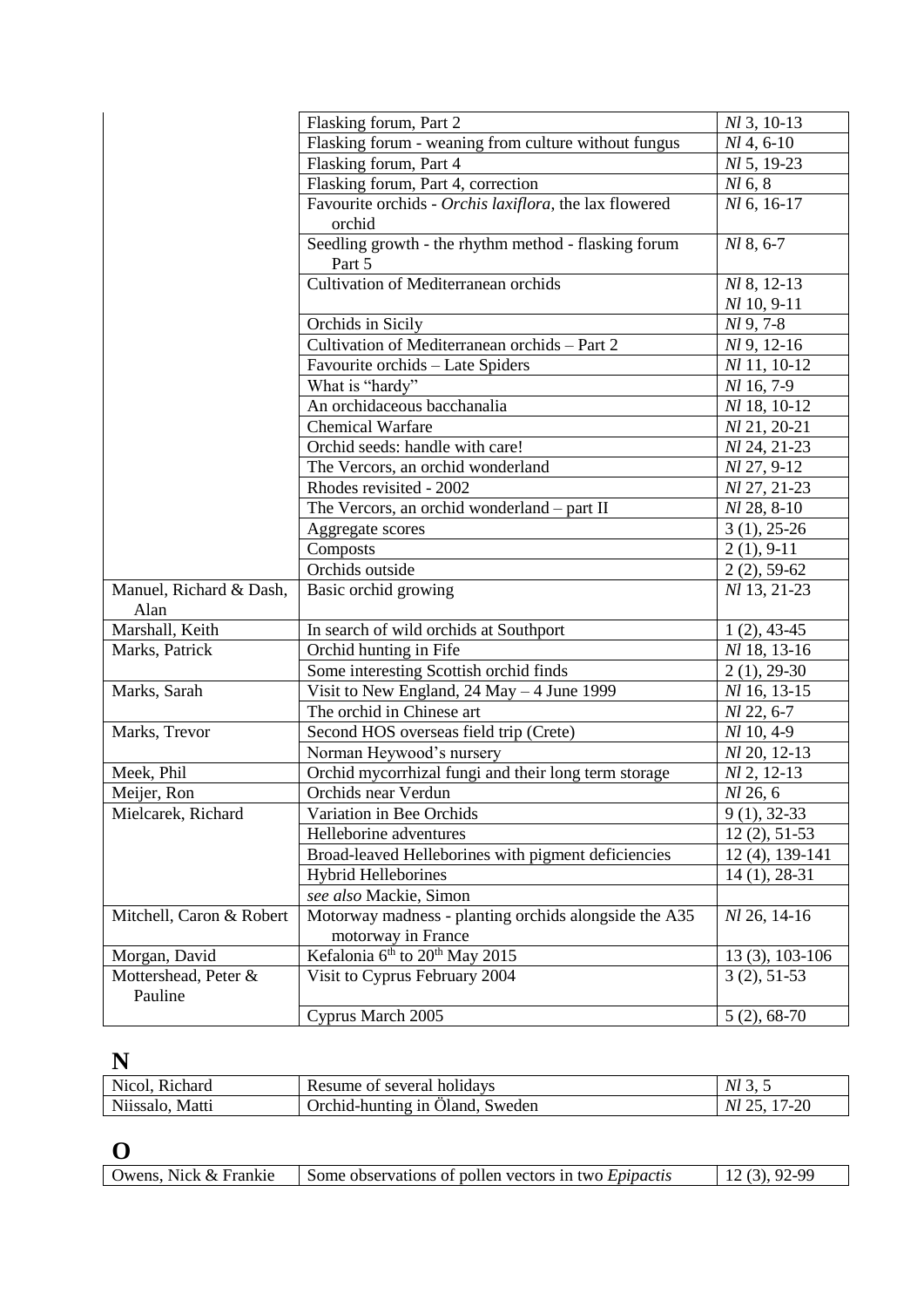|                                 | Flasking forum, Part 2                                 | $Nl$ 3, 10-13      |
|---------------------------------|--------------------------------------------------------|--------------------|
|                                 | Flasking forum - weaning from culture without fungus   | $Nl$ 4, 6-10       |
|                                 | Flasking forum, Part 4                                 | NI 5, 19-23        |
|                                 | Flasking forum, Part 4, correction                     | $Nl$ 6, 8          |
|                                 | Favourite orchids - Orchis laxiflora, the lax flowered | Nl 6, 16-17        |
|                                 | orchid                                                 |                    |
|                                 | Seedling growth - the rhythm method - flasking forum   | Nl 8, 6-7          |
|                                 | Part 5                                                 |                    |
|                                 | Cultivation of Mediterranean orchids                   | Nl 8, 12-13        |
|                                 |                                                        | $Nl$ 10, 9-11      |
|                                 | Orchids in Sicily                                      | $Nl$ 9, 7-8        |
|                                 | Cultivation of Mediterranean orchids - Part 2          | $Nl$ 9, 12-16      |
|                                 | Favourite orchids - Late Spiders                       | Nl 11, 10-12       |
|                                 | What is "hardy"                                        | Nl 16, 7-9         |
|                                 | An orchidaceous bacchanalia                            | Nl 18, 10-12       |
|                                 | <b>Chemical Warfare</b>                                | Nl 21, 20-21       |
|                                 | Orchid seeds: handle with care!                        | Nl 24, 21-23       |
|                                 | The Vercors, an orchid wonderland                      | <i>Nl</i> 27, 9-12 |
|                                 | Rhodes revisited - 2002                                | Nl 27, 21-23       |
|                                 | The Vercors, an orchid wonderland - part II            | Nl 28, 8-10        |
|                                 | Aggregate scores                                       | $3(1), 25-26$      |
|                                 | Composts                                               | $2(1), 9-11$       |
|                                 | Orchids outside                                        | $2(2), 59-62$      |
| Manuel, Richard & Dash,         | Basic orchid growing                                   | Nl 13, 21-23       |
| Alan                            |                                                        |                    |
| Marshall, Keith                 | In search of wild orchids at Southport                 | $1(2), 43-45$      |
| Marks, Patrick                  | Orchid hunting in Fife                                 | Nl 18, 13-16       |
|                                 | Some interesting Scottish orchid finds                 | $2(1), 29-30$      |
| Marks, Sarah                    | Visit to New England, $24$ May $-4$ June 1999          | Nl 16, 13-15       |
|                                 | The orchid in Chinese art                              | Nl 22, 6-7         |
| Marks, Trevor                   | Second HOS overseas field trip (Crete)                 | Nl 10, 4-9         |
|                                 | Norman Heywood's nursery                               | Nl 20, 12-13       |
| Meek, Phil                      | Orchid mycorrhizal fungi and their long term storage   | Nl 2, 12-13        |
| Meijer, Ron                     | Orchids near Verdun                                    | Nl 26, 6           |
| Mielcarek, Richard              | Variation in Bee Orchids                               | $9(1), 32-33$      |
|                                 | Helleborine adventures                                 | $12(2), 51-53$     |
|                                 | Broad-leaved Helleborines with pigment deficiencies    | 12 (4), 139-141    |
|                                 | <b>Hybrid Helleborines</b>                             | $14(1), 28-31$     |
|                                 | see also Mackie, Simon                                 |                    |
| Mitchell, Caron & Robert        | Motorway madness - planting orchids alongside the A35  | Nl 26, 14-16       |
|                                 | motorway in France                                     |                    |
| Morgan, David                   | Kefalonia 6 <sup>th</sup> to 20 <sup>th</sup> May 2015 | 13 (3), 103-106    |
| Mottershead, Peter &<br>Pauline | Visit to Cyprus February 2004                          | $3(2), 51-53$      |
|                                 | Cyprus March 2005                                      | $5(2), 68-70$      |

# **N**

| <b>Richard</b><br>Nicol. | holidays<br>several<br>'esume<br>. ( ) 1<br>- IN L | Νl          |
|--------------------------|----------------------------------------------------|-------------|
| Matti<br>N11SSa          | Sweden<br>Jiand<br>- firchid-hunting<br>1n         | $-20$<br>Νl |

# **O**

| Owens, Nick & Frankie | Some observations of pollen vectors in two <i>Epipactis</i> | $92-99$ |
|-----------------------|-------------------------------------------------------------|---------|
|-----------------------|-------------------------------------------------------------|---------|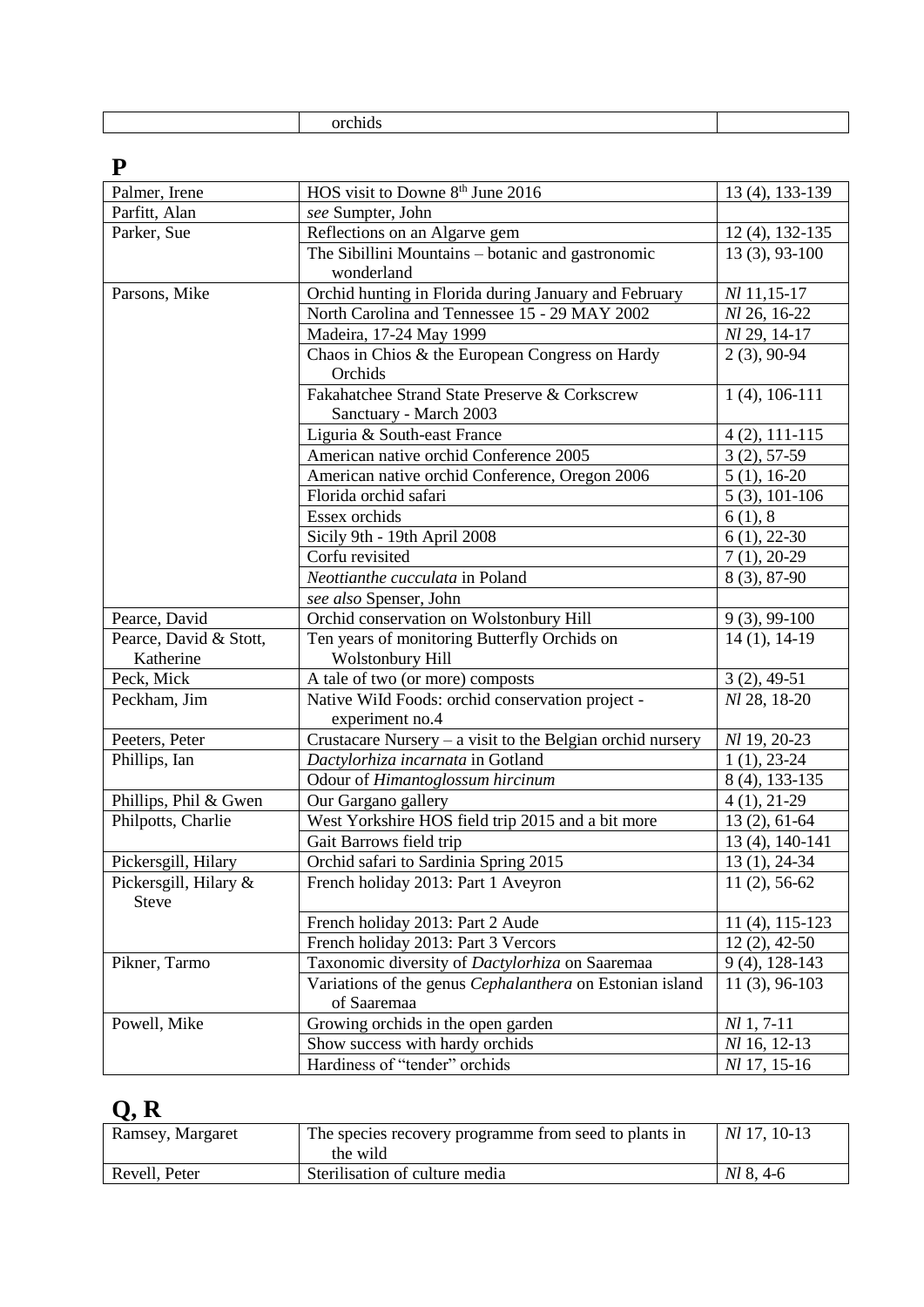# **P**

| Palmer, Irene                         | HOS visit to Downe 8 <sup>th</sup> June 2016                 | 13 (4), 133-139     |
|---------------------------------------|--------------------------------------------------------------|---------------------|
| Parfitt, Alan                         | see Sumpter, John                                            |                     |
| Parker, Sue                           | Reflections on an Algarve gem                                | 12 (4), 132-135     |
|                                       | The Sibillini Mountains - botanic and gastronomic            | $13(3), 93-100$     |
|                                       | wonderland                                                   |                     |
| Parsons, Mike                         | Orchid hunting in Florida during January and February        | Nl 11,15-17         |
|                                       | North Carolina and Tennessee 15 - 29 MAY 2002                | Nl 26, 16-22        |
|                                       | Madeira, 17-24 May 1999                                      | Nl 29, 14-17        |
|                                       | Chaos in Chios & the European Congress on Hardy              | $2(3), 90-94$       |
|                                       | Orchids                                                      |                     |
|                                       | Fakahatchee Strand State Preserve & Corkscrew                | $1(4)$ , 106-111    |
|                                       | Sanctuary - March 2003                                       |                     |
|                                       | Liguria & South-east France                                  | $4(2), 111-115$     |
|                                       | American native orchid Conference 2005                       | $3(2), 57-59$       |
|                                       | American native orchid Conference, Oregon 2006               | $5(1), 16-20$       |
|                                       | Florida orchid safari                                        | $5(3), 101-106$     |
|                                       | Essex orchids                                                | 6(1), 8             |
|                                       | Sicily 9th - 19th April 2008                                 | $6(1), 22-30$       |
|                                       | Corfu revisited                                              | $7(1), 20-29$       |
|                                       | Neottianthe cucculata in Poland                              | 8 (3), 87-90        |
|                                       | see also Spenser, John                                       |                     |
| Pearce, David                         | Orchid conservation on Wolstonbury Hill                      | $9(3), 99-100$      |
| Pearce, David & Stott,                | Ten years of monitoring Butterfly Orchids on                 | $14(1), 14-19$      |
| Katherine                             | Wolstonbury Hill                                             |                     |
| Peck, Mick                            | A tale of two (or more) composts                             | $3(2), 49-51$       |
| Peckham, Jim                          | Native Wild Foods: orchid conservation project -             | Nl 28, 18-20        |
|                                       | experiment no.4                                              |                     |
| Peeters, Peter                        | Crustacare Nursery $-$ a visit to the Belgian orchid nursery | Nl 19, 20-23        |
| Phillips, Ian                         | Dactylorhiza incarnata in Gotland                            | $1(1), 23-24$       |
|                                       | Odour of Himantoglossum hircinum                             | 8 (4), 133-135      |
| Phillips, Phil & Gwen                 | Our Gargano gallery                                          | $4(1), 21-29$       |
| Philpotts, Charlie                    | West Yorkshire HOS field trip 2015 and a bit more            | $13(2), 61-64$      |
|                                       | Gait Barrows field trip                                      | 13 (4), 140-141     |
| Pickersgill, Hilary                   | Orchid safari to Sardinia Spring 2015                        | $13(1), 24-34$      |
| Pickersgill, Hilary &<br><b>Steve</b> | French holiday 2013: Part 1 Aveyron                          | $11(2), 56-62$      |
|                                       | French holiday 2013: Part 2 Aude                             | $11(4)$ , $115-123$ |
|                                       | French holiday 2013: Part 3 Vercors                          | $12(2), 42-50$      |
| Pikner, Tarmo                         | Taxonomic diversity of Dactylorhiza on Saaremaa              | 9 (4), 128-143      |
|                                       | Variations of the genus Cephalanthera on Estonian island     | $11(3), 96-103$     |
|                                       | of Saaremaa                                                  |                     |
| Powell, Mike                          | Growing orchids in the open garden                           | $Nl$ 1, 7-11        |
|                                       | Show success with hardy orchids                              | Nl 16, 12-13        |
|                                       | Hardiness of "tender" orchids                                | Nl 17, 15-16        |

# **Q, R**

| Ramsey, Margaret | The species recovery programme from seed to plants in<br>the wild | <i>Nl</i> 17, 10-13 |
|------------------|-------------------------------------------------------------------|---------------------|
| Revell, Peter    | Sterilisation of culture media                                    | $Nl$ 8, 4-6         |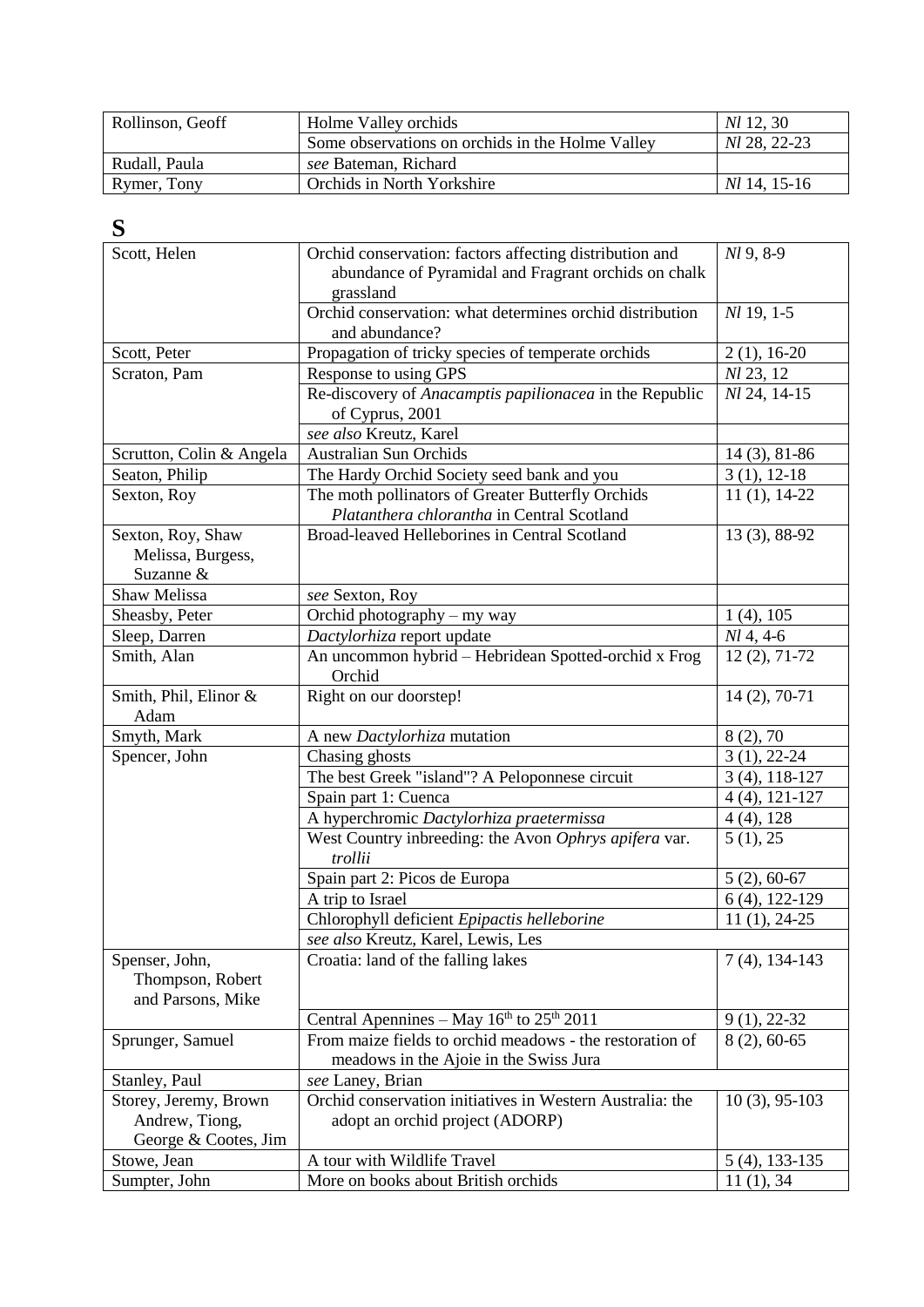| Rollinson, Geoff | Holme Valley orchids                             | <i>NI</i> 12, 30    |
|------------------|--------------------------------------------------|---------------------|
|                  | Some observations on orchids in the Holme Valley | <i>NI</i> 28, 22-23 |
| Rudall, Paula    | see Bateman, Richard                             |                     |
| Rymer, Tony      | <b>Orchids in North Yorkshire</b>                | <i>NI</i> 14, 15-16 |

### **S**

| Scott, Helen                                                    | Orchid conservation: factors affecting distribution and<br>abundance of Pyramidal and Fragrant orchids on chalk | Nl 9, 8-9        |
|-----------------------------------------------------------------|-----------------------------------------------------------------------------------------------------------------|------------------|
|                                                                 | grassland                                                                                                       |                  |
|                                                                 | Orchid conservation: what determines orchid distribution<br>and abundance?                                      | Nl 19, 1-5       |
| Scott, Peter                                                    | Propagation of tricky species of temperate orchids                                                              | $2(1), 16-20$    |
| Scraton, Pam                                                    | Response to using GPS                                                                                           | Nl 23, 12        |
|                                                                 | Re-discovery of Anacamptis papilionacea in the Republic<br>of Cyprus, 2001                                      | Nl 24, 14-15     |
|                                                                 | see also Kreutz, Karel                                                                                          |                  |
| Scrutton, Colin & Angela                                        | <b>Australian Sun Orchids</b>                                                                                   | $14(3), 81-86$   |
| Seaton, Philip                                                  | The Hardy Orchid Society seed bank and you                                                                      | $3(1), 12-18$    |
| Sexton, Roy                                                     | The moth pollinators of Greater Butterfly Orchids<br>Platanthera chlorantha in Central Scotland                 | $11(1), 14-22$   |
| Sexton, Roy, Shaw<br>Melissa, Burgess,<br>Suzanne &             | Broad-leaved Helleborines in Central Scotland                                                                   | 13 (3), 88-92    |
| Shaw Melissa                                                    | see Sexton, Roy                                                                                                 |                  |
| Sheasby, Peter                                                  | Orchid photography - my way                                                                                     | $1(4)$ , 105     |
| Sleep, Darren                                                   | Dactylorhiza report update                                                                                      | $Nl$ 4, 4-6      |
| Smith, Alan                                                     | An uncommon hybrid - Hebridean Spotted-orchid x Frog<br>Orchid                                                  | $12(2), 71-72$   |
| Smith, Phil, Elinor &<br>Adam                                   | Right on our doorstep!                                                                                          | $14(2), 70-71$   |
| Smyth, Mark                                                     | A new Dactylorhiza mutation                                                                                     | 8(2), 70         |
| Spencer, John                                                   | Chasing ghosts                                                                                                  | $3(1), 22-24$    |
|                                                                 | The best Greek "island"? A Peloponnese circuit                                                                  | $3(4), 118-127$  |
|                                                                 | Spain part 1: Cuenca                                                                                            | $4(4), 121-127$  |
|                                                                 | A hyperchromic Dactylorhiza praetermissa                                                                        | $4(4)$ , 128     |
|                                                                 | West Country inbreeding: the Avon Ophrys apifera var.<br>trollii                                                | 5(1), 25         |
|                                                                 | Spain part 2: Picos de Europa                                                                                   | $5(2), 60-67$    |
|                                                                 | A trip to Israel                                                                                                | 6 (4), 122-129   |
|                                                                 | Chlorophyll deficient Epipactis helleborine                                                                     | $11(1), 24-25$   |
|                                                                 | see also Kreutz, Karel, Lewis, Les                                                                              |                  |
| Spenser, John,<br>Thompson, Robert<br>and Parsons, Mike         | Croatia: land of the falling lakes                                                                              | $7(4)$ , 134-143 |
|                                                                 | Central Apennines – May $16th$ to $25th$ 2011                                                                   | $9(1), 22-32$    |
| Sprunger, Samuel                                                | From maize fields to orchid meadows - the restoration of<br>meadows in the Ajoie in the Swiss Jura              | $8(2), 60-65$    |
| Stanley, Paul                                                   | see Laney, Brian                                                                                                |                  |
| Storey, Jeremy, Brown<br>Andrew, Tiong,<br>George & Cootes, Jim | Orchid conservation initiatives in Western Australia: the<br>adopt an orchid project (ADORP)                    | $10(3)$ , 95-103 |
| Stowe, Jean                                                     | A tour with Wildlife Travel                                                                                     | 5 (4), 133-135   |
| Sumpter, John                                                   | More on books about British orchids                                                                             | 11(1), 34        |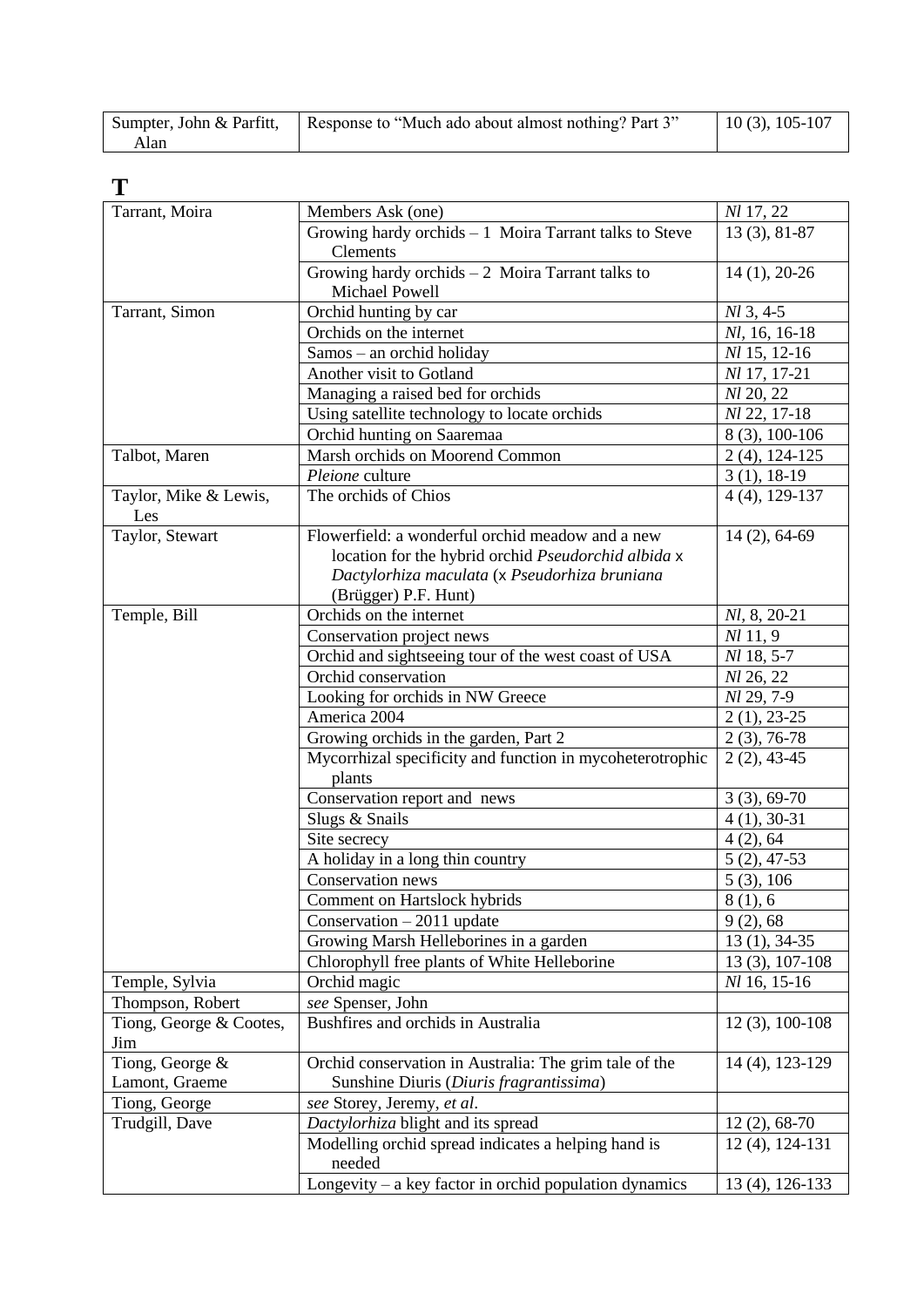|      | Sumpter, John & Parfitt,   Response to "Much ado about almost nothing? Part 3" | $10(3), 105-107$ |
|------|--------------------------------------------------------------------------------|------------------|
| Alan |                                                                                |                  |

**T**

| Tarrant, Moira          | Members Ask (one)                                         | Nl 17, 22         |
|-------------------------|-----------------------------------------------------------|-------------------|
|                         | Growing hardy orchids $-1$ Moira Tarrant talks to Steve   | $13(3), 81-87$    |
|                         | <b>Clements</b>                                           |                   |
|                         | Growing hardy orchids $-2$ Moira Tarrant talks to         | $14(1), 20-26$    |
|                         | Michael Powell                                            |                   |
| Tarrant, Simon          | Orchid hunting by car                                     | $M_3, 4-5$        |
|                         | Orchids on the internet                                   | Nl, 16, 16-18     |
|                         | Samos - an orchid holiday                                 | Nl 15, 12-16      |
|                         | Another visit to Gotland                                  | Nl 17, 17-21      |
|                         | Managing a raised bed for orchids                         | Nl 20, 22         |
|                         | Using satellite technology to locate orchids              | Nl 22, 17-18      |
|                         | Orchid hunting on Saaremaa                                | 8 (3), 100-106    |
| Talbot, Maren           | Marsh orchids on Moorend Common                           | $2(4)$ , 124-125  |
|                         | Pleione culture                                           | $3(1), 18-19$     |
| Taylor, Mike & Lewis,   | The orchids of Chios                                      | $4(4)$ , 129-137  |
| Les                     |                                                           |                   |
| Taylor, Stewart         | Flowerfield: a wonderful orchid meadow and a new          | $14(2), 64-69$    |
|                         | location for the hybrid orchid Pseudorchid albida x       |                   |
|                         | Dactylorhiza maculata (x Pseudorhiza bruniana             |                   |
|                         | (Brügger) P.F. Hunt)                                      |                   |
| Temple, Bill            | Orchids on the internet                                   | Nl, 8, 20-21      |
|                         | Conservation project news                                 | <i>Nl</i> 11, 9   |
|                         | Orchid and sightseeing tour of the west coast of USA      | Nl 18, 5-7        |
|                         | Orchid conservation                                       | Nl 26, 22         |
|                         | Looking for orchids in NW Greece                          | Nl 29, 7-9        |
|                         | America 2004                                              | $2(1), 23-25$     |
|                         | Growing orchids in the garden, Part 2                     | $2(3), 76-78$     |
|                         | Mycorrhizal specificity and function in mycoheterotrophic | $2(2), 43-45$     |
|                         | plants                                                    |                   |
|                         | Conservation report and news                              | $3(3), 69-70$     |
|                         | Slugs & Snails                                            | $4(1), 30-31$     |
|                         | Site secrecy                                              | 4(2), 64          |
|                         | A holiday in a long thin country                          | $5(2), 47-53$     |
|                         | Conservation news                                         | 5(3), 106         |
|                         | Comment on Hartslock hybrids                              | 8(1), 6           |
|                         | Conservation $-2011$ update                               | 9(2), 68          |
|                         | Growing Marsh Helleborines in a garden                    | $13(1), 34-35$    |
|                         | Chlorophyll free plants of White Helleborine              | $13(3), 107-108$  |
| Temple, Sylvia          | Orchid magic                                              | Nl 16, 15-16      |
| Thompson, Robert        | see Spenser, John                                         |                   |
| Tiong, George & Cootes, | Bushfires and orchids in Australia                        | $12(3), 100-108$  |
| Jim                     |                                                           |                   |
| Tiong, George &         | Orchid conservation in Australia: The grim tale of the    | 14 (4), 123-129   |
| Lamont, Graeme          | Sunshine Diuris (Diuris fragrantissima)                   |                   |
| Tiong, George           | see Storey, Jeremy, et al.                                |                   |
| Trudgill, Dave          | Dactylorhiza blight and its spread                        | $12(2), 68-70$    |
|                         | Modelling orchid spread indicates a helping hand is       | $12(4)$ , 124-131 |
|                         | needed                                                    |                   |
|                         | Longevity $-$ a key factor in orchid population dynamics  | 13 (4), 126-133   |
|                         |                                                           |                   |